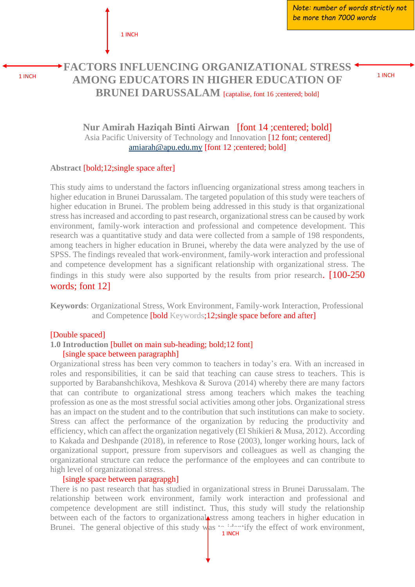1 INCH

*Note: number of words strictly not be more than 7000 words*

# **FACTORS INFLUENCING ORGANIZATIONAL STRESS AMONG EDUCATORS IN HIGHER EDUCATION OF BRUNEI DARUSSALAM** [captalise, font 16 ;centered; bold]

**Nur Amirah Haziqah Binti Airwan** [font 14 ;centered; bold] Asia Pacific University of Technology and Innovation [12 font; centered] [amiarah@apu.edu.my](mailto:amiarah@apu.edu.my) [font 12 ;centered; bold]

#### **Abstract** [bold;12;single space after]

This study aims to understand the factors influencing organizational stress among teachers in higher education in Brunei Darussalam. The targeted population of this study were teachers of higher education in Brunei. The problem being addressed in this study is that organizational stress has increased and according to past research, organizational stress can be caused by work environment, family-work interaction and professional and competence development. This research was a quantitative study and data were collected from a sample of 198 respondents, among teachers in higher education in Brunei, whereby the data were analyzed by the use of SPSS. The findings revealed that work-environment, family-work interaction and professional and competence development has a significant relationship with organizational stress. The findings in this study were also supported by the results from prior research. [100-250 words; font 12]

**Keywords**: Organizational Stress, Work Environment, Family-work Interaction, Professional and Competence [bold Keywords;12;single space before and after]

#### [Double spaced]

### **1.0 Introduction** [bullet on main sub-heading; bold;12 font] [single space between paragraphh]

Organizational stress has been very common to teachers in today's era. With an increased in roles and responsibilities, it can be said that teaching can cause stress to teachers. This is supported by Barabanshchikova, Meshkova & Surova (2014) whereby there are many factors that can contribute to organizational stress among teachers which makes the teaching profession as one as the most stressful social activities among other jobs. Organizational stress has an impact on the student and to the contribution that such institutions can make to society. Stress can affect the performance of the organization by reducing the productivity and efficiency, which can affect the organization negatively (El Shikieri & Musa, 2012). According to Kakada and Deshpande (2018), in reference to Rose (2003), longer working hours, lack of organizational support, pressure from supervisors and colleagues as well as changing the organizational structure can reduce the performance of the employees and can contribute to high level of organizational stress.

#### [single space between paragrapgh]

There is no past research that has studied in organizational stress in Brunei Darussalam. The relationship between work environment, family work interaction and professional and competence development are still indistinct. Thus, this study will study the relationship between each of the factors to organizational stress among teachers in higher education in Brunei. The general objective of this study was  $\sim$  identify the effect of work environment,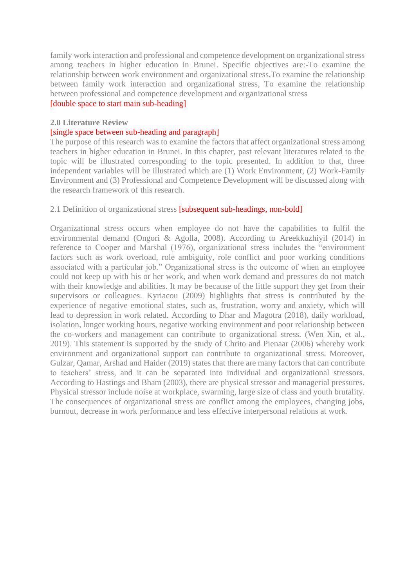family work interaction and professional and competence development on organizational stress among teachers in higher education in Brunei. Specific objectives are:-To examine the relationship between work environment and organizational stress,To examine the relationship between family work interaction and organizational stress, To examine the relationship between professional and competence development and organizational stress [double space to start main sub-heading]

## **2.0 Literature Review**

## [single space between sub-heading and paragraph]

The purpose of this research was to examine the factors that affect organizational stress among teachers in higher education in Brunei. In this chapter, past relevant literatures related to the topic will be illustrated corresponding to the topic presented. In addition to that, three independent variables will be illustrated which are (1) Work Environment, (2) Work-Family Environment and (3) Professional and Competence Development will be discussed along with the research framework of this research.

### 2.1 Definition of organizational stress [subsequent sub-headings, non-bold]

Organizational stress occurs when employee do not have the capabilities to fulfil the environmental demand (Ongori & Agolla, 2008). According to Areekkuzhiyil (2014) in reference to Cooper and Marshal (1976), organizational stress includes the "environment factors such as work overload, role ambiguity, role conflict and poor working conditions associated with a particular job." Organizational stress is the outcome of when an employee could not keep up with his or her work, and when work demand and pressures do not match with their knowledge and abilities. It may be because of the little support they get from their supervisors or colleagues. Kyriacou (2009) highlights that stress is contributed by the experience of negative emotional states, such as, frustration, worry and anxiety, which will lead to depression in work related. According to Dhar and Magotra (2018), daily workload, isolation, longer working hours, negative working environment and poor relationship between the co-workers and management can contribute to organizational stress. (Wen Xin, et al., 2019). This statement is supported by the study of Chrito and Pienaar (2006) whereby work environment and organizational support can contribute to organizational stress. Moreover, Gulzar, Qamar, Arshad and Haider (2019) states that there are many factors that can contribute to teachers' stress, and it can be separated into individual and organizational stressors. According to Hastings and Bham (2003), there are physical stressor and managerial pressures. Physical stressor include noise at workplace, swarming, large size of class and youth brutality. The consequences of organizational stress are conflict among the employees, changing jobs, burnout, decrease in work performance and less effective interpersonal relations at work.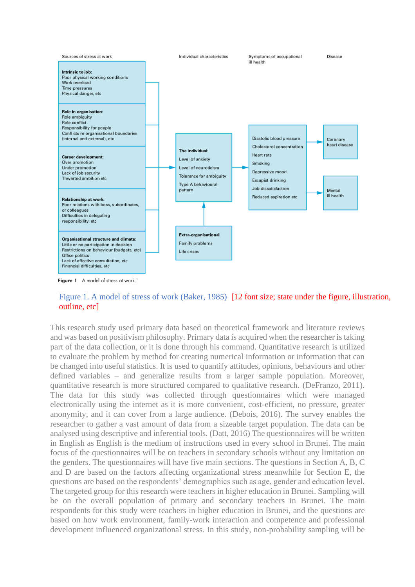

Figure 1 A model of stress at work.<sup>1</sup>

Figure 1. A model of stress of work (Baker, 1985) [12 font size; state under the figure, illustration, outline, etc]

This research study used primary data based on theoretical framework and literature reviews and was based on positivism philosophy. Primary data is acquired when the researcher is taking part of the data collection, or it is done through his command. Quantitative research is utilized to evaluate the problem by method for creating numerical information or information that can be changed into useful statistics. It is used to quantify attitudes, opinions, behaviours and other defined variables – and generalize results from a larger sample population. Moreover, quantitative research is more structured compared to qualitative research. (DeFranzo, 2011). The data for this study was collected through questionnaires which were managed electronically using the internet as it is more convenient, cost-efficient, no pressure, greater anonymity, and it can cover from a large audience. (Debois, 2016). The survey enables the researcher to gather a vast amount of data from a sizeable target population. The data can be analysed using descriptive and inferential tools. (Datt, 2016) The questionnaires will be written in English as English is the medium of instructions used in every school in Brunei. The main focus of the questionnaires will be on teachers in secondary schools without any limitation on the genders. The questionnaires will have five main sections. The questions in Section A, B, C and D are based on the factors affecting organizational stress meanwhile for Section E, the questions are based on the respondents' demographics such as age, gender and education level. The targeted group for this research were teachers in higher education in Brunei. Sampling will be on the overall population of primary and secondary teachers in Brunei. The main respondents for this study were teachers in higher education in Brunei, and the questions are based on how work environment, family-work interaction and competence and professional development influenced organizational stress. In this study, non-probability sampling will be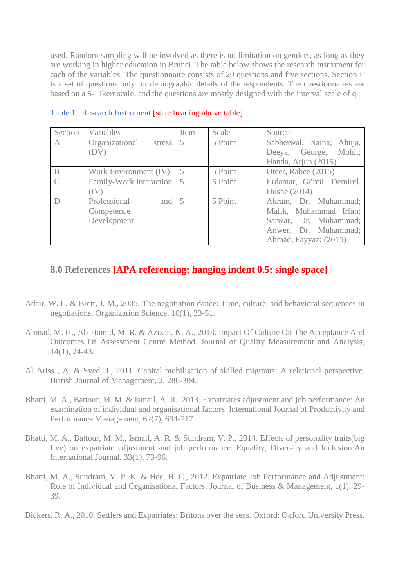used. Random sampling will be involved as there is no limitation on genders, as long as they are working in higher education in Brunei. The table below shows the research instrument for each of the variables. The questionnaire consists of 20 questions and five sections. Section E is a set of questions only for demographic details of the respondents. The questionnaires are based on a 5-Likert scale, and the questions are mostly designed with the interval scale of q

| Section       | Variables                          | Item           | Scale   | Source                   |
|---------------|------------------------------------|----------------|---------|--------------------------|
| A             | Organizational<br>stress           | 5              | 5 Point | Sabherwal, Naina; Ahuja, |
|               | (DV)                               |                |         | Deeya; George, Mohit;    |
|               |                                    |                |         | Handa, Arjun (2015)      |
| $\mathbf{B}$  | Work Environment (IV)              | 5              | 5 Point | Oteer, Rabee (2015)      |
| $\mathcal{C}$ | Family-Work Interaction            | $\overline{5}$ | 5 Point | Erdamar, Gürcü; Demirel, |
|               |                                    |                |         | Hüsne $(2014)$           |
|               | Professional<br>and $\overline{5}$ |                | 5 Point | Akram, Dr. Muhammad;     |
|               | Competence                         |                |         | Malik, Muhammad Irfan;   |
|               | Development                        |                |         | Sarwar, Dr. Muhammad;    |
|               |                                    |                |         | Anwer, Dr. Muhammad;     |
|               |                                    |                |         | Ahmad, Fayyaz; (2015)    |

Table 1. Research Instrument [state heading above table]

# **8.0 References [APA referencing; hanging indent 0.5; single space]**

- Adair, W. L. & Brett, J. M., 2005. The negotiation dance: Time, culture, and behavioral sequences in negotiations. Organization Science, 16(1), 33-51.
- Ahmad, M. H., Ab-Hamid, M. R. & Azizan, N. A., 2018. Impact Of Culture On The Acceptance And Outcomes Of Assessment Centre Method. Journal of Quality Measurement and Analysis, 14(1), 24-43.
- Al Ariss , A. & Syed, J., 2011. Capital mobilisation of skilled migrants: A relational perspective. British Journal of Management, 2, 286-304.
- Bhatti, M. A., Battour, M. M. & Ismail, A. R., 2013. Expatriates adjustment and job performance: An examination of individual and organisational factors. International Journal of Productivity and Performance Management, 62(7), 694-717.
- Bhatti, M. A., Battour, M. M., Ismail, A. R. & Sundram, V. P., 2014. Effects of personality traits(big five) on expatriate adjustment and job performance. Equality, Diversity and Inclusion:An International Journal, 33(1), 73-96.
- Bhatti, M. A., Sundram, V. P. K. & Hee, H. C., 2012. Expatriate Job Performance and Adjustment: Role of Individual and Organisational Factors. Journal of Business & Management, 1(1), 29- 39.

Bickers, R. A., 2010. Settlers and Expatriates: Britons over the seas. Oxford: Oxford University Press.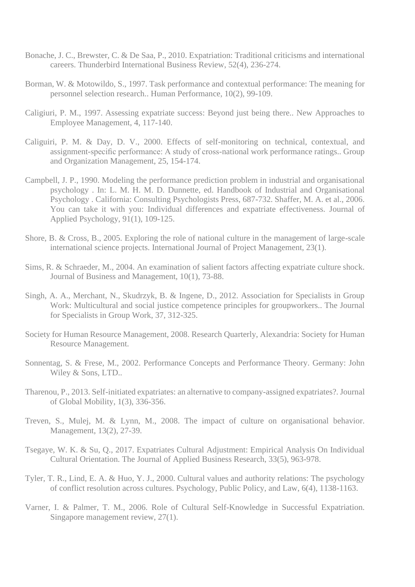- Bonache, J. C., Brewster, C. & De Saa, P., 2010. Expatriation: Traditional criticisms and international careers. Thunderbird International Business Review, 52(4), 236-274.
- Borman, W. & Motowildo, S., 1997. Task performance and contextual performance: The meaning for personnel selection research.. Human Performance, 10(2), 99-109.
- Caligiuri, P. M., 1997. Assessing expatriate success: Beyond just being there.. New Approaches to Employee Management, 4, 117-140.
- Caliguiri, P. M. & Day, D. V., 2000. Effects of self-monitoring on technical, contextual, and assignment-specific performance: A study of cross-national work performance ratings.. Group and Organization Management, 25, 154-174.
- Campbell, J. P., 1990. Modeling the performance prediction problem in industrial and organisational psychology . In: L. M. H. M. D. Dunnette, ed. Handbook of Industrial and Organisational Psychology . California: Consulting Psychologists Press, 687-732. Shaffer, M. A. et al., 2006. You can take it with you: Individual differences and expatriate effectiveness. Journal of Applied Psychology, 91(1), 109-125.
- Shore, B. & Cross, B., 2005. Exploring the role of national culture in the management of large-scale international science projects. International Journal of Project Management, 23(1).
- Sims, R. & Schraeder, M., 2004. An examination of salient factors affecting expatriate culture shock. Journal of Business and Management, 10(1), 73-88.
- Singh, A. A., Merchant, N., Skudrzyk, B. & Ingene, D., 2012. Association for Specialists in Group Work: Multicultural and social justice competence principles for groupworkers.. The Journal for Specialists in Group Work, 37, 312-325.
- Society for Human Resource Management, 2008. Research Quarterly, Alexandria: Society for Human Resource Management.
- Sonnentag, S. & Frese, M., 2002. Performance Concepts and Performance Theory. Germany: John Wiley & Sons, LTD..
- Tharenou, P., 2013. Self-initiated expatriates: an alternative to company-assigned expatriates?. Journal of Global Mobility, 1(3), 336-356.
- Treven, S., Mulej, M. & Lynn, M., 2008. The impact of culture on organisational behavior. Management, 13(2), 27-39.
- Tsegaye, W. K. & Su, Q., 2017. Expatriates Cultural Adjustment: Empirical Analysis On Individual Cultural Orientation. The Journal of Applied Business Research, 33(5), 963-978.
- Tyler, T. R., Lind, E. A. & Huo, Y. J., 2000. Cultural values and authority relations: The psychology of conflict resolution across cultures. Psychology, Public Policy, and Law, 6(4), 1138-1163.
- Varner, I. & Palmer, T. M., 2006. Role of Cultural Self-Knowledge in Successful Expatriation. Singapore management review, 27(1).